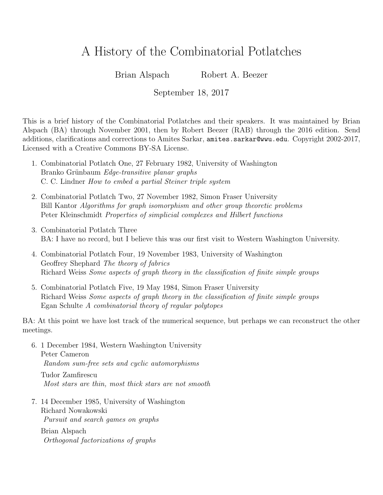## A History of the Combinatorial Potlatches

Brian Alspach Robert A. Beezer

September 18, 2017

This is a brief history of the Combinatorial Potlatches and their speakers. It was maintained by Brian Alspach (BA) through November 2001, then by Robert Beezer (RAB) through the 2016 edition. Send additions, clarifications and corrections to Amites Sarkar, amites.sarkar@wwu.edu. Copyright 2002-2017, Licensed with a Creative Commons BY-SA License.

- 1. Combinatorial Potlatch One, 27 February 1982, University of Washington Branko Grünbaum Edge-transitive planar graphs C. C. Lindner How to embed a partial Steiner triple system
- 2. Combinatorial Potlatch Two, 27 November 1982, Simon Fraser University Bill Kantor Algorithms for graph isomorphism and other group theoretic problems Peter Kleinschmidt Properties of simplicial complexes and Hilbert functions
- 3. Combinatorial Potlatch Three BA: I have no record, but I believe this was our first visit to Western Washington University.
- 4. Combinatorial Potlatch Four, 19 November 1983, University of Washington Geoffrey Shephard The theory of fabrics Richard Weiss Some aspects of graph theory in the classification of finite simple groups
- 5. Combinatorial Potlatch Five, 19 May 1984, Simon Fraser University Richard Weiss Some aspects of graph theory in the classification of finite simple groups Egan Schulte A combinatorial theory of regular polytopes

BA: At this point we have lost track of the numerical sequence, but perhaps we can reconstruct the other meetings.

6. 1 December 1984, Western Washington University Peter Cameron Random sum-free sets and cyclic automorphisms

Tudor Zamfirescu Most stars are thin, most thick stars are not smooth

7. 14 December 1985, University of Washington Richard Nowakowski Pursuit and search games on graphs

Brian Alspach Orthogonal factorizations of graphs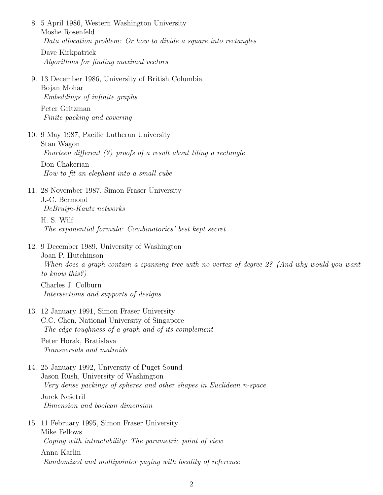8. 5 April 1986, Western Washington University Moshe Rosenfeld Data allocation problem: Or how to divide a square into rectangles Dave Kirkpatrick Algorithms for finding maximal vectors 9. 13 December 1986, University of British Columbia Bojan Mohar

Embeddings of infinite graphs

Peter Gritzman Finite packing and covering

10. 9 May 1987, Pacific Lutheran University Stan Wagon

Fourteen different  $(?)$  proofs of a result about tiling a rectangle

Don Chakerian How to fit an elephant into a small cube

- 11. 28 November 1987, Simon Fraser University J.-C. Bermond DeBruijn-Kautz networks
	- H. S. Wilf The exponential formula: Combinatorics' best kept secret
- 12. 9 December 1989, University of Washington

Joan P. Hutchinson When does a graph contain a spanning tree with no vertex of degree 2? (And why would you want to know this?)

Charles J. Colburn Intersections and supports of designs

- 13. 12 January 1991, Simon Fraser University C.C. Chen, National University of Singapore The edge-toughness of a graph and of its complement Peter Horak, Bratislava Transversals and matroids
- 14. 25 January 1992, University of Puget Sound Jason Rush, University of Washington Very dense packings of spheres and other shapes in Euclidean n-space Jarek Nešetril Dimension and boolean dimension
- 15. 11 February 1995, Simon Fraser University Mike Fellows Coping with intractability: The parametric point of view

Anna Karlin Randomized and multipointer paging with locality of reference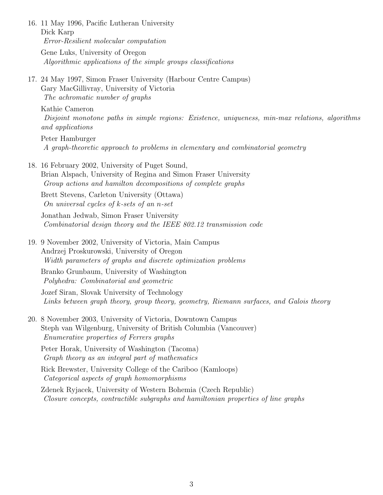16. 11 May 1996, Pacific Lutheran University Dick Karp Error-Resilient molecular computation Gene Luks, University of Oregon Algorithmic applications of the simple groups classifications

17. 24 May 1997, Simon Fraser University (Harbour Centre Campus) Gary MacGillivray, University of Victoria The achromatic number of graphs

Kathie Cameron

Disjoint monotone paths in simple regions: Existence, uniqueness, min-max relations, algorithms and applications

Peter Hamburger A graph-theoretic approach to problems in elementary and combinatorial geometry

18. 16 February 2002, University of Puget Sound, Brian Alspach, University of Regina and Simon Fraser University Group actions and hamilton decompositions of complete graphs

Brett Stevens, Carleton University (Ottawa) On universal cycles of k-sets of an n-set

Jonathan Jedwab, Simon Fraser University Combinatorial design theory and the IEEE 802.12 transmission code

19. 9 November 2002, University of Victoria, Main Campus Andrzej Proskurowski, University of Oregon Width parameters of graphs and discrete optimization problems

Branko Grunbaum, University of Washington Polyhedra: Combinatorial and geometric

Jozef Siran, Slovak University of Technology Links between graph theory, group theory, geometry, Riemann surfaces, and Galois theory

20. 8 November 2003, University of Victoria, Downtown Campus Steph van Wilgenburg, University of British Columbia (Vancouver) Enumerative properties of Ferrers graphs

Peter Horak, University of Washington (Tacoma) Graph theory as an integral part of mathematics

Rick Brewster, University College of the Cariboo (Kamloops) Categorical aspects of graph homomorphisms

Zdenek Ryjacek, University of Western Bohemia (Czech Republic) Closure concepts, contractible subgraphs and hamiltonian properties of line graphs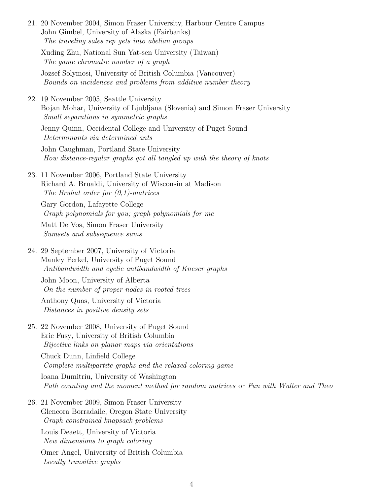- 21. 20 November 2004, Simon Fraser University, Harbour Centre Campus John Gimbel, University of Alaska (Fairbanks) The traveling sales rep gets into abelian groups Xuding Zhu, National Sun Yat-sen University (Taiwan) The game chromatic number of a graph Jozsef Solymosi, University of British Columbia (Vancouver) Bounds on incidences and problems from additive number theory
- 22. 19 November 2005, Seattle University Bojan Mohar, University of Ljubljana (Slovenia) and Simon Fraser University Small separations in symmetric graphs

Jenny Quinn, Occidental College and University of Puget Sound Determinants via determined ants

John Caughman, Portland State University How distance-regular graphs got all tangled up with the theory of knots

23. 11 November 2006, Portland State University Richard A. Brualdi, University of Wisconsin at Madison The Bruhat order for  $(0,1)$ -matrices

Gary Gordon, Lafayette College Graph polynomials for you; graph polynomials for me

Matt De Vos, Simon Fraser University Sumsets and subsequence sums

24. 29 September 2007, University of Victoria Manley Perkel, University of Puget Sound Antibandwidth and cyclic antibandwidth of Kneser graphs

John Moon, University of Alberta On the number of proper nodes in rooted trees

Anthony Quas, University of Victoria Distances in positive density sets

25. 22 November 2008, University of Puget Sound Eric Fusy, University of British Columbia Bijective links on planar maps via orientations

Chuck Dunn, Linfield College Complete multipartite graphs and the relaxed coloring game

Ioana Dumitriu, University of Washington Path counting and the moment method for random matrices or Fun with Walter and Theo

26. 21 November 2009, Simon Fraser University Glencora Borradaile, Oregon State University Graph constrained knapsack problems

Louis Deaett, University of Victoria New dimensions to graph coloring

Omer Angel, University of British Columbia Locally transitive graphs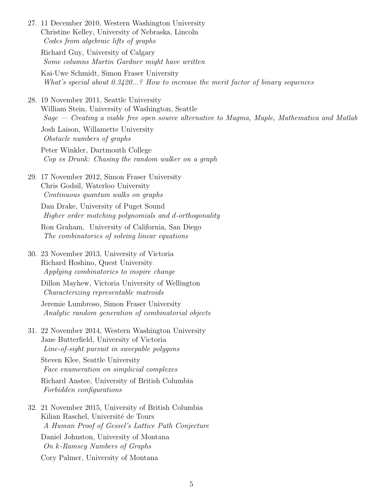- 27. 11 December 2010, Western Washington University Christine Kelley, University of Nebraska, Lincoln Codes from algebraic lifts of graphs Richard Guy, University of Calgary Some columns Martin Gardner might have written Kai-Uwe Schmidt, Simon Fraser University What's special about 0.3420...? How to increase the merit factor of binary sequences 28. 19 November 2011, Seattle University William Stein, University of Washington, Seattle Sage — Creating a viable free open source alternative to Magma, Maple, Mathematica and Matlab Josh Laison, Willamette University Obstacle numbers of graphs Peter Winkler, Dartmouth College Cop vs Drunk: Chasing the random walker on a graph
- 29. 17 November 2012, Simon Fraser University Chris Godsil, Waterloo University Continuous quantum walks on graphs

Dan Drake, University of Puget Sound Higher order matching polynomials and d-orthogonality

Ron Graham, University of California, San Diego The combinatorics of solving linear equations

30. 23 November 2013, University of Victoria Richard Hoshino, Quest University Applying combinatorics to inspire change

Dillon Mayhew, Victoria University of Wellington Characterizing representable matroids

Jeremie Lumbroso, Simon Fraser University Analytic random generation of combinatorial objects

31. 22 November 2014, Western Washington University Jane Butterfield, University of Victoria Line-of-sight pursuit in sweepable polygons

Steven Klee, Seattle University Face enumeration on simplicial complexes

Richard Anstee, University of British Columbia Forbidden configurations

32. 21 November 2015, University of British Columbia Kilian Raschel, Université de Tours A Human Proof of Gessel's Lattice Path Conjecture

Daniel Johnston, University of Montana On k-Ramsey Numbers of Graphs

Cory Palmer, University of Montana